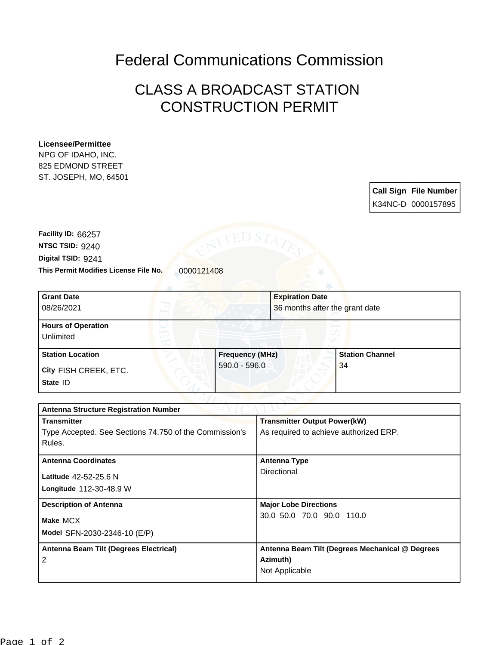## Federal Communications Commission

## CLASS A BROADCAST STATION CONSTRUCTION PERMIT

## **Licensee/Permittee**

NPG OF IDAHO, INC. 825 EDMOND STREET ST. JOSEPH, MO, 64501



This Permit Modifies License File No. 0000121408 **Digital TSID:** 9241 **NTSC TSID:** 9240 **Facility ID:** 66257

| <b>Grant Date</b><br>08/26/2021        |                        | <b>Expiration Date</b><br>36 months after the grant date |
|----------------------------------------|------------------------|----------------------------------------------------------|
| <b>Hours of Operation</b><br>Unlimited |                        |                                                          |
| <b>Station Location</b>                | <b>Frequency (MHz)</b> | <b>Station Channel</b>                                   |
| City FISH CREEK, ETC.<br>State ID      | $590.0 - 596.0$        | 34                                                       |

| <b>Antenna Structure Registration Number</b>           |                                                 |  |  |
|--------------------------------------------------------|-------------------------------------------------|--|--|
| <b>Transmitter</b>                                     | <b>Transmitter Output Power(kW)</b>             |  |  |
| Type Accepted. See Sections 74.750 of the Commission's | As required to achieve authorized ERP.          |  |  |
| Rules.                                                 |                                                 |  |  |
| <b>Antenna Coordinates</b>                             | <b>Antenna Type</b>                             |  |  |
| Latitude 42-52-25.6 N                                  | Directional                                     |  |  |
| Longitude 112-30-48.9 W                                |                                                 |  |  |
| <b>Description of Antenna</b>                          | <b>Major Lobe Directions</b>                    |  |  |
| Make MCX                                               | 30.0 50.0 70.0 90.0 110.0                       |  |  |
|                                                        |                                                 |  |  |
| Model SFN-2030-2346-10 (E/P)                           |                                                 |  |  |
| Antenna Beam Tilt (Degrees Electrical)                 | Antenna Beam Tilt (Degrees Mechanical @ Degrees |  |  |
| 2                                                      | Azimuth)                                        |  |  |
|                                                        | Not Applicable                                  |  |  |